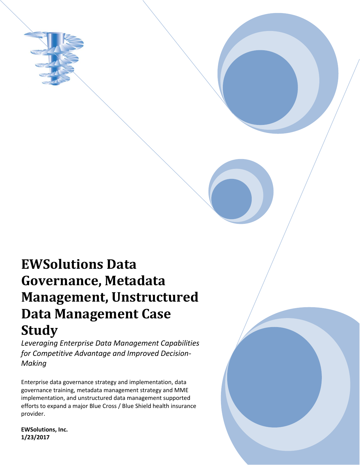

# **EWSolutions Data Governance, Metadata Management, Unstructured Data Management Case Study**

*Leveraging Enterprise Data Management Capabilities for Competitive Advantage and Improved Decision-Making*

Enterprise data governance strategy and implementation, data governance training, metadata management strategy and MME implementation, and unstructured data management supported efforts to expand a major Blue Cross / Blue Shield health insurance provider.

**EWSolutions, Inc. 1/23/2017**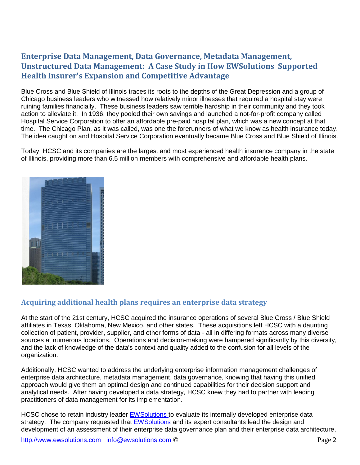# **Enterprise Data Management, Data Governance, Metadata Management, Unstructured Data Management: A Case Study in How EWSolutions Supported Health Insurer's Expansion and Competitive Advantage**

Blue Cross and Blue Shield of Illinois traces its roots to the depths of the Great Depression and a group of Chicago business leaders who witnessed how relatively minor illnesses that required a hospital stay were ruining families financially. These business leaders saw terrible hardship in their community and they took action to alleviate it. In 1936, they pooled their own savings and launched a not-for-profit company called Hospital Service Corporation to offer an affordable pre-paid hospital plan, which was a new concept at that time. The Chicago Plan, as it was called, was one the forerunners of what we know as health insurance today. The idea caught on and Hospital Service Corporation eventually became Blue Cross and Blue Shield of Illinois.

Today, HCSC and its companies are the largest and most experienced health insurance company in the state of Illinois, providing more than 6.5 million members with comprehensive and affordable health plans.



## **Acquiring additional health plans requires an enterprise data strategy**

At the start of the 21st century, HCSC acquired the insurance operations of several Blue Cross / Blue Shield affiliates in Texas, Oklahoma, New Mexico, and other states. These acquisitions left HCSC with a daunting collection of patient, provider, supplier, and other forms of data - all in differing formats across many diverse sources at numerous locations. Operations and decision-making were hampered significantly by this diversity, and the lack of knowledge of the data's context and quality added to the confusion for all levels of the organization.

Additionally, HCSC wanted to address the underlying enterprise information management challenges of enterprise data architecture, metadata management, data governance, knowing that having this unified approach would give them an optimal design and continued capabilities for their decision support and analytical needs. After having developed a data strategy, HCSC knew they had to partner with leading practitioners of data management for its implementation.

HCSC chose to retain industry leader [EWSolutions t](http://www.ewsolutions.com/)o evaluate its internally developed enterprise data strategy. The company requested that **EWSolutions** and its expert consultants lead the design and development of an assessment of their enterprise data governance plan and their enterprise data architecture,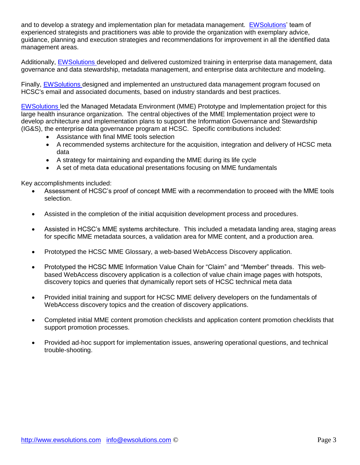and to develop a strategy and implementation plan for metadata management. [EWSolutions'](http://www.ewsolutions.com/) team of experienced strategists and practitioners was able to provide the organization with exemplary advice, guidance, planning and execution strategies and recommendations for improvement in all the identified data management areas.

Additionally, [EWSolutions d](http://www.ewsolutions.com/)eveloped and delivered customized training in enterprise data management, data governance and data stewardship, metadata management, and enterprise data architecture and modeling.

Finally, [EWSolutions d](http://www.ewsolutions.com/)esigned and implemented an unstructured data management program focused on HCSC's email and associated documents, based on industry standards and best practices.

[EWSolutions l](http://www.ewsolutions.com/)ed the Managed Metadata Environment (MME) Prototype and Implementation project for this large health insurance organization. The central objectives of the MME Implementation project were to develop architecture and implementation plans to support the Information Governance and Stewardship (IG&S), the enterprise data governance program at HCSC. Specific contributions included:

- Assistance with final MME tools selection
- A recommended systems architecture for the acquisition, integration and delivery of HCSC meta data
- A strategy for maintaining and expanding the MME during its life cycle
- A set of meta data educational presentations focusing on MME fundamentals

Key accomplishments included:

- Assessment of HCSC's proof of concept MME with a recommendation to proceed with the MME tools selection.
- Assisted in the completion of the initial acquisition development process and procedures.
- Assisted in HCSC's MME systems architecture. This included a metadata landing area, staging areas for specific MME metadata sources, a validation area for MME content, and a production area.
- Prototyped the HCSC MME Glossary, a web-based WebAccess Discovery application.
- Prototyped the HCSC MME Information Value Chain for "Claim" and "Member" threads. This webbased WebAccess discovery application is a collection of value chain image pages with hotspots, discovery topics and queries that dynamically report sets of HCSC technical meta data
- Provided initial training and support for HCSC MME delivery developers on the fundamentals of WebAccess discovery topics and the creation of discovery applications.
- Completed initial MME content promotion checklists and application content promotion checklists that support promotion processes.
- Provided ad-hoc support for implementation issues, answering operational questions, and technical trouble-shooting.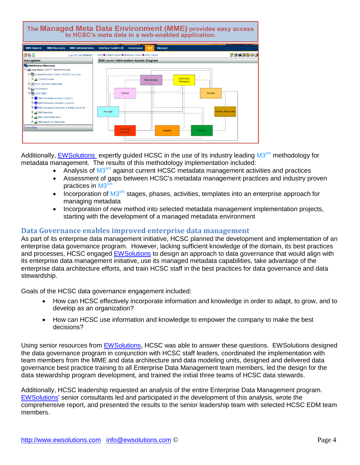

Additionally, **EWSolutions** expertly guided HCSC in the use of its industry leading M3<sup>sm</sup> methodology for metadata management. The results of this methodology implementation included:

- Analysis of M3<sup>sm</sup> against current HCSC metadata management activities and practices
- Assessment of gaps between HCSC's metadata management practices and industry proven practices in M3<sup>sm</sup>
- Incorporation of  $M3<sup>sm</sup>$  stages, phases, activities, templates into an enterprise approach for managing metadata
- Incorporation of new method into selected metadata management implementation projects, starting with the development of a managed metadata environment

## **Data Governance enables improved enterprise data management**

As part of its enterprise data management initiative, HCSC planned the development and implementation of an enterprise data governance program. However, lacking sufficient knowledge of the domain, its best practices and processes, HCSC engaged [EWSolutions](http://www.ewsolutions.com/) to design an approach to data governance that would align with its enterprise data management initiative, use its managed metadata capabilities, take advantage of the enterprise data architecture efforts, and train HCSC staff in the best practices for data governance and data stewardship.

Goals of the HCSC data governance engagement included:

- How can HCSC effectively incorporate information and knowledge in order to adapt, to grow, and to develop as an organization?
- How can HCSC use information and knowledge to empower the company to make the best decisions?

Using senior resources from **EWSolutions**, HCSC was able to answer these questions. EWSolutions designed the data governance program in conjunction with HCSC staff leaders, coordinated the implementation with team members from the MME and data architecture and data modeling units, designed and delivered data governance best practice training to all Enterprise Data Management team members, led the design for the data stewardship program development, and trained the initial three teams of HCSC data stewards.

Additionally, HCSC leadership requested an analysis of the entire Enterprise Data Management program. [EWSolutions'](http://www.ewsolutions.com/) senior consultants led and participated in the development of this analysis, wrote the comprehensive report, and presented the results to the senior leadership team with selected HCSC EDM team members.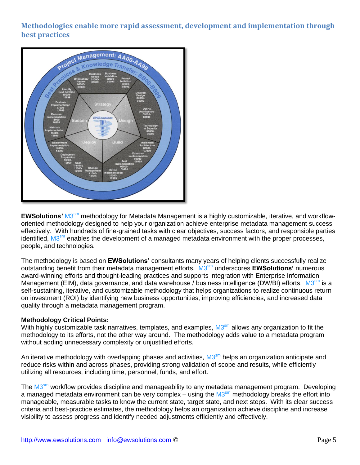## **Methodologies enable more rapid assessment, development and implementation through best practices**



EWSolutions' M3<sup>sm</sup> methodology for Metadata Management is a highly customizable, iterative, and workfloworiented methodology designed to help your organization achieve enterprise metadata management success effectively. With hundreds of fine-grained tasks with clear objectives, success factors, and responsible parties identified, M3<sup>sm</sup> enables the development of a managed metadata environment with the proper processes, people, and technologies.

The methodology is based on **EWSolutions'** consultants many years of helping clients successfully realize outstanding benefit from their metadata management efforts. M3 sm underscores **EWSolutions'** numerous award-winning efforts and thought-leading practices and supports integration with Enterprise Information Management (EIM), data governance, and data warehouse / business intelligence (DW/BI) efforts. M3<sup>sm</sup> is a self-sustaining, iterative, and customizable methodology that helps organizations to realize continuous return on investment (ROI) by identifying new business opportunities, improving efficiencies, and increased data quality through a metadata management program.

### **Methodology Critical Points:**

With highly customizable task narratives, templates, and examples, M3<sup>sm</sup> allows any organization to fit the methodology to its efforts, not the other way around. The methodology adds value to a metadata program without adding unnecessary complexity or unjustified efforts.

An iterative methodology with overlapping phases and activities, M3<sup>sm</sup> helps an organization anticipate and reduce risks within and across phases, providing strong validation of scope and results, while efficiently utilizing all resources, including time, personnel, funds, and effort.

The M3<sup>sm</sup> workflow provides discipline and manageability to any metadata management program. Developing a managed metadata environment can be very complex – using the M3<sup>sm</sup> methodology breaks the effort into manageable, measurable tasks to know the current state, target state, and next steps. With its clear success criteria and best-practice estimates, the methodology helps an organization achieve discipline and increase visibility to assess progress and identify needed adjustments efficiently and effectively.